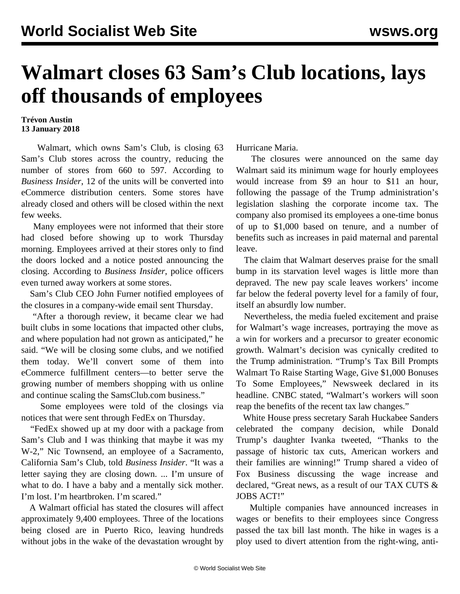## **Walmart closes 63 Sam's Club locations, lays off thousands of employees**

## **Trévon Austin 13 January 2018**

 Walmart, which owns Sam's Club, is closing 63 Sam's Club stores across the country, reducing the number of stores from 660 to 597. According to *Business Insider*, 12 of the units will be converted into eCommerce distribution centers. Some stores have already closed and others will be closed within the next few weeks.

 Many employees were not informed that their store had closed before showing up to work Thursday morning. Employees arrived at their stores only to find the doors locked and a notice posted announcing the closing. According to *Business Insider*, police officers even turned away workers at some stores.

 Sam's Club CEO John Furner notified employees of the closures in a company-wide email sent Thursday.

 "After a thorough review, it became clear we had built clubs in some locations that impacted other clubs, and where population had not grown as anticipated," he said. "We will be closing some clubs, and we notified them today. We'll convert some of them into eCommerce fulfillment centers—to better serve the growing number of members shopping with us online and continue scaling the SamsClub.com business."

 Some employees were told of the closings via notices that were sent through FedEx on Thursday.

 "FedEx showed up at my door with a package from Sam's Club and I was thinking that maybe it was my W-2," Nic Townsend, an employee of a Sacramento, California Sam's Club, told *Business Insider*. "It was a letter saying they are closing down. ... I'm unsure of what to do. I have a baby and a mentally sick mother. I'm lost. I'm heartbroken. I'm scared."

 A Walmart official has stated the closures will affect approximately 9,400 employees. Three of the locations being closed are in Puerto Rico, leaving hundreds without jobs in the wake of the devastation wrought by

Hurricane Maria.

 The closures were announced on the same day Walmart said its minimum wage for hourly employees would increase from \$9 an hour to \$11 an hour, following the passage of the Trump administration's legislation slashing the corporate income tax. The company also promised its employees a one-time bonus of up to \$1,000 based on tenure, and a number of benefits such as increases in paid maternal and parental leave.

 The claim that Walmart deserves praise for the small bump in its starvation level wages is little more than depraved. The new pay scale leaves workers' income far below the federal poverty level for a family of four, itself an absurdly low number.

 Nevertheless, the media fueled excitement and praise for Walmart's wage increases, portraying the move as a win for workers and a precursor to greater economic growth. Walmart's decision was cynically credited to the Trump administration. "Trump's Tax Bill Prompts Walmart To Raise Starting Wage, Give \$1,000 Bonuses To Some Employees," Newsweek declared in its headline. CNBC stated, "Walmart's workers will soon reap the benefits of the recent tax law changes."

 White House press secretary Sarah Huckabee Sanders celebrated the company decision, while Donald Trump's daughter Ivanka tweeted, "Thanks to the passage of historic tax cuts, American workers and their families are winning!" Trump shared a video of Fox Business discussing the wage increase and declared, "Great news, as a result of our TAX CUTS & JOBS ACT!"

 Multiple companies have announced increases in wages or benefits to their employees since Congress passed the tax bill last month. The hike in wages is a ploy used to divert attention from the right-wing, anti